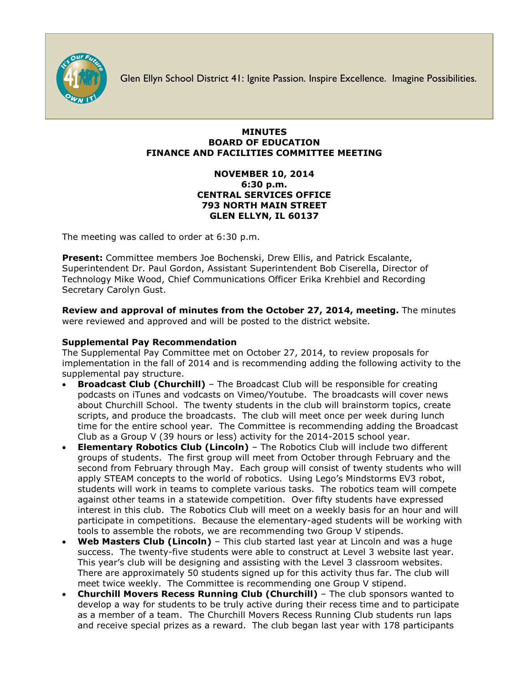

Glen Ellyn School District 41: Ignite Passion. Inspire Excellence. Imagine Possibilities.

## **MINUTES BOARD OF EDUCATION FINANCE AND FACILITIES COMMITTEE MEETING**

## **NOVEMBER 10, 2014 6:30 p.m. CENTRAL SERVICES OFFICE 793 NORTH MAIN STREET GLEN ELLYN, IL 60137**

The meeting was called to order at 6:30 p.m.

**Present:** Committee members Joe Bochenski, Drew Ellis, and Patrick Escalante, Superintendent Dr. Paul Gordon, Assistant Superintendent Bob Ciserella, Director of Technology Mike Wood, Chief Communications Officer [Erika Krehbiel](http://www.d41.org/contact_email.asp?id=ekrehbiel&n=Erika_Krehbiel) and Recording Secretary Carolyn Gust.

**Review and approval of minutes from the October 27, 2014, meeting.** The minutes were reviewed and approved and will be posted to the district website.

# **Supplemental Pay Recommendation**

The Supplemental Pay Committee met on October 27, 2014, to review proposals for implementation in the fall of 2014 and is recommending adding the following activity to the supplemental pay structure.

- **Broadcast Club (Churchill)** The Broadcast Club will be responsible for creating podcasts on iTunes and vodcasts on Vimeo/Youtube. The broadcasts will cover news about Churchill School. The twenty students in the club will brainstorm topics, create scripts, and produce the broadcasts. The club will meet once per week during lunch time for the entire school year. The Committee is recommending adding the Broadcast Club as a Group V (39 hours or less) activity for the 2014-2015 school year.
- **Elementary Robotics Club (Lincoln)** The Robotics Club will include two different groups of students. The first group will meet from October through February and the second from February through May. Each group will consist of twenty students who will apply STEAM concepts to the world of robotics. Using Lego's Mindstorms EV3 robot, students will work in teams to complete various tasks. The robotics team will compete against other teams in a statewide competition. Over fifty students have expressed interest in this club. The Robotics Club will meet on a weekly basis for an hour and will participate in competitions. Because the elementary-aged students will be working with tools to assemble the robots, we are recommending two Group V stipends.
- **Web Masters Club (Lincoln)** This club started last year at Lincoln and was a huge success. The twenty-five students were able to construct at Level 3 website last year. This year's club will be designing and assisting with the Level 3 classroom websites. There are approximately 50 students signed up for this activity thus far. The club will meet twice weekly. The Committee is recommending one Group V stipend.
- **Churchill Movers Recess Running Club (Churchill)** The club sponsors wanted to develop a way for students to be truly active during their recess time and to participate as a member of a team. The Churchill Movers Recess Running Club students run laps and receive special prizes as a reward. The club began last year with 178 participants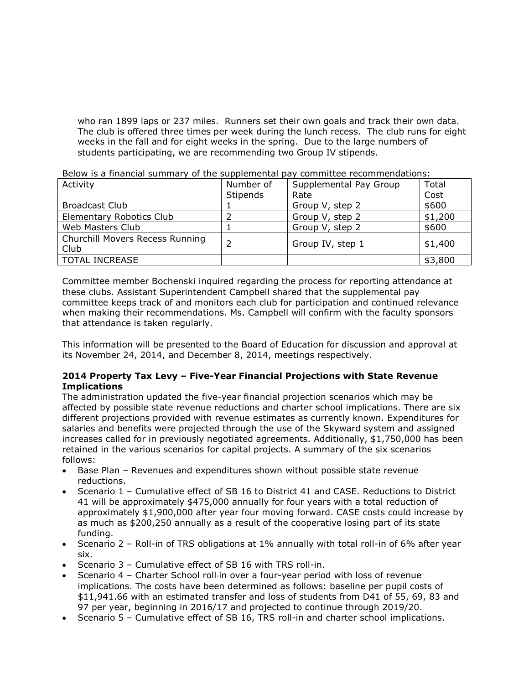who ran 1899 laps or 237 miles. Runners set their own goals and track their own data. The club is offered three times per week during the lunch recess. The club runs for eight weeks in the fall and for eight weeks in the spring. Due to the large numbers of students participating, we are recommending two Group IV stipends.

| _______________________         |                 |                        |         |
|---------------------------------|-----------------|------------------------|---------|
| Activity                        | Number of       | Supplemental Pay Group | Total   |
|                                 | <b>Stipends</b> | Rate                   | Cost    |
| <b>Broadcast Club</b>           |                 | Group V, step 2        | \$600   |
| <b>Elementary Robotics Club</b> |                 | Group V, step 2        | \$1,200 |
| Web Masters Club                |                 | Group V, step 2        | \$600   |
| Churchill Movers Recess Running |                 | Group IV, step 1       | \$1,400 |
| Club                            |                 |                        |         |
| <b>TOTAL INCREASE</b>           |                 |                        | \$3,800 |

Below is a financial summary of the supplemental pay committee recommendations:

Committee member Bochenski inquired regarding the process for reporting attendance at these clubs. Assistant Superintendent Campbell shared that the supplemental pay committee keeps track of and monitors each club for participation and continued relevance when making their recommendations. Ms. Campbell will confirm with the faculty sponsors that attendance is taken regularly.

This information will be presented to the Board of Education for discussion and approval at its November 24, 2014, and December 8, 2014, meetings respectively.

## **2014 Property Tax Levy – Five-Year Financial Projections with State Revenue Implications**

The administration updated the five-year financial projection scenarios which may be affected by possible state revenue reductions and charter school implications. There are six different projections provided with revenue estimates as currently known. Expenditures for salaries and benefits were projected through the use of the Skyward system and assigned increases called for in previously negotiated agreements. Additionally, \$1,750,000 has been retained in the various scenarios for capital projects. A summary of the six scenarios follows:

- Base Plan Revenues and expenditures shown without possible state revenue reductions.
- Scenario 1 Cumulative effect of SB 16 to District 41 and CASE. Reductions to District 41 will be approximately \$475,000 annually for four years with a total reduction of approximately \$1,900,000 after year four moving forward. CASE costs could increase by as much as \$200,250 annually as a result of the cooperative losing part of its state funding.
- Scenario 2 Roll-in of TRS obligations at 1% annually with total roll-in of 6% after year six.
- Scenario 3 Cumulative effect of SB 16 with TRS roll-in.
- Scenario 4 Charter School roll-in over a four-year period with loss of revenue implications. The costs have been determined as follows: baseline per pupil costs of \$11,941.66 with an estimated transfer and loss of students from D41 of 55, 69, 83 and 97 per year, beginning in 2016/17 and projected to continue through 2019/20.
- Scenario 5 Cumulative effect of SB 16, TRS roll-in and charter school implications.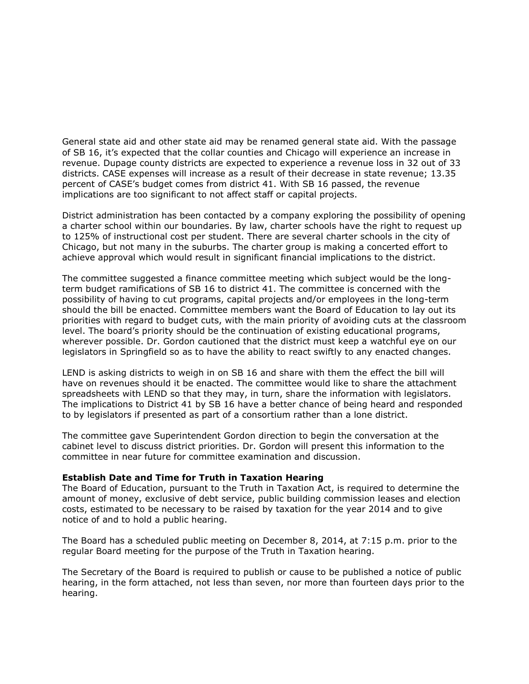General state aid and other state aid may be renamed general state aid. With the passage of SB 16, it's expected that the collar counties and Chicago will experience an increase in revenue. Dupage county districts are expected to experience a revenue loss in 32 out of 33 districts. CASE expenses will increase as a result of their decrease in state revenue; 13.35 percent of CASE's budget comes from district 41. With SB 16 passed, the revenue implications are too significant to not affect staff or capital projects.

District administration has been contacted by a company exploring the possibility of opening a charter school within our boundaries. By law, charter schools have the right to request up to 125% of instructional cost per student. There are several charter schools in the city of Chicago, but not many in the suburbs. The charter group is making a concerted effort to achieve approval which would result in significant financial implications to the district.

The committee suggested a finance committee meeting which subject would be the longterm budget ramifications of SB 16 to district 41. The committee is concerned with the possibility of having to cut programs, capital projects and/or employees in the long-term should the bill be enacted. Committee members want the Board of Education to lay out its priorities with regard to budget cuts, with the main priority of avoiding cuts at the classroom level. The board's priority should be the continuation of existing educational programs, wherever possible. Dr. Gordon cautioned that the district must keep a watchful eye on our legislators in Springfield so as to have the ability to react swiftly to any enacted changes.

LEND is asking districts to weigh in on SB 16 and share with them the effect the bill will have on revenues should it be enacted. The committee would like to share the attachment spreadsheets with LEND so that they may, in turn, share the information with legislators. The implications to District 41 by SB 16 have a better chance of being heard and responded to by legislators if presented as part of a consortium rather than a lone district.

The committee gave Superintendent Gordon direction to begin the conversation at the cabinet level to discuss district priorities. Dr. Gordon will present this information to the committee in near future for committee examination and discussion.

#### **Establish Date and Time for Truth in Taxation Hearing**

The Board of Education, pursuant to the Truth in Taxation Act, is required to determine the amount of money, exclusive of debt service, public building commission leases and election costs, estimated to be necessary to be raised by taxation for the year 2014 and to give notice of and to hold a public hearing.

The Board has a scheduled public meeting on December 8, 2014, at 7:15 p.m. prior to the regular Board meeting for the purpose of the Truth in Taxation hearing.

The Secretary of the Board is required to publish or cause to be published a notice of public hearing, in the form attached, not less than seven, nor more than fourteen days prior to the hearing.